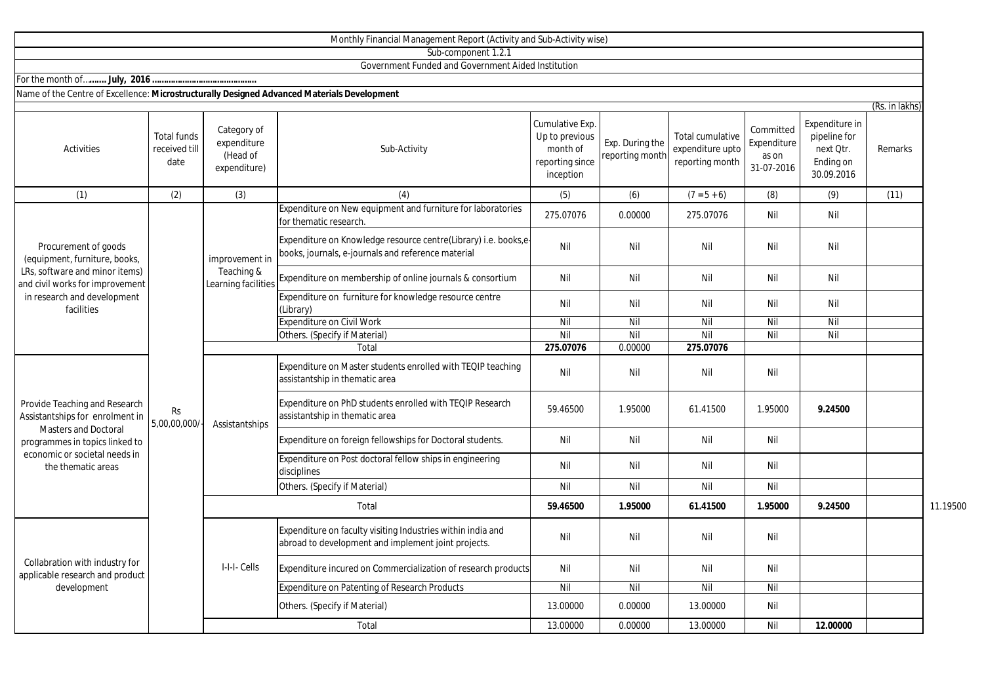|                                                                                                                                                                                          |                                             |                                                        | Sub-component 1.2.1                                                                                                   |                                                                               |                                    |                                                         |                                                 |                                                                        |                |          |
|------------------------------------------------------------------------------------------------------------------------------------------------------------------------------------------|---------------------------------------------|--------------------------------------------------------|-----------------------------------------------------------------------------------------------------------------------|-------------------------------------------------------------------------------|------------------------------------|---------------------------------------------------------|-------------------------------------------------|------------------------------------------------------------------------|----------------|----------|
|                                                                                                                                                                                          |                                             |                                                        | Government Funded and Government Aided Institution                                                                    |                                                                               |                                    |                                                         |                                                 |                                                                        |                |          |
| Name of the Centre of Excellence: Microstructurally Designed Advanced Materials Development                                                                                              |                                             |                                                        |                                                                                                                       |                                                                               |                                    |                                                         |                                                 |                                                                        |                |          |
|                                                                                                                                                                                          |                                             |                                                        |                                                                                                                       |                                                                               |                                    |                                                         |                                                 |                                                                        | (Rs. in lakhs) |          |
| Activities                                                                                                                                                                               | <b>Total funds</b><br>received till<br>date | Category of<br>expenditure<br>(Head of<br>expenditure) | Sub-Activity                                                                                                          | Cumulative Exp.<br>Up to previous<br>month of<br>reporting since<br>inception | Exp. During the<br>reporting month | Total cumulative<br>expenditure upto<br>reporting month | Committed<br>Expenditure<br>as on<br>31-07-2016 | Expenditure in<br>pipeline for<br>next Qtr.<br>Ending on<br>30.09.2016 | Remarks        |          |
| (1)                                                                                                                                                                                      | (2)                                         | (3)                                                    | (4)                                                                                                                   | (5)                                                                           | (6)                                | $(7 = 5 + 6)$                                           | (8)                                             | (9)                                                                    | (11)           |          |
|                                                                                                                                                                                          |                                             |                                                        | Expenditure on New equipment and furniture for laboratories<br>for thematic research.                                 | 275.07076                                                                     | 0.00000                            | 275.07076                                               | Nil                                             | Nil                                                                    |                |          |
| Procurement of goods<br>(equipment, furniture, books,<br>LRs, software and minor items)<br>and civil works for improvement<br>in research and development<br>facilities                  |                                             | improvement in<br>Teaching &<br>Learning facilities    | Expenditure on Knowledge resource centre(Library) i.e. books,e-<br>books, journals, e-journals and reference material | Nil                                                                           | Nil                                | Nil                                                     | Nil                                             | Nil                                                                    |                |          |
|                                                                                                                                                                                          |                                             |                                                        | Expenditure on membership of online journals & consortium                                                             | Nil                                                                           | Nil                                | Nil                                                     | Nil                                             | Nil                                                                    |                |          |
|                                                                                                                                                                                          |                                             |                                                        | Expenditure on furniture for knowledge resource centre<br>(Library)                                                   | Nil                                                                           | Nil                                | Nil                                                     | Nil                                             | Nil                                                                    |                |          |
|                                                                                                                                                                                          |                                             |                                                        | <b>Expenditure on Civil Work</b>                                                                                      | Nil                                                                           | Nil                                | Nil                                                     | Nil                                             | Nil                                                                    |                |          |
|                                                                                                                                                                                          |                                             |                                                        | Others. (Specify if Material)                                                                                         | Nil                                                                           | Nil                                | Nil                                                     | Nil                                             | Nil                                                                    |                |          |
|                                                                                                                                                                                          |                                             | Assistantships                                         | Total                                                                                                                 | 275.07076                                                                     | 0.00000                            | 275.07076                                               |                                                 |                                                                        |                |          |
| Provide Teaching and Research<br>Assistantships for enrolment in<br><b>Masters and Doctoral</b><br>programmes in topics linked to<br>economic or societal needs in<br>the thematic areas | <b>Rs</b><br>5,00,00,000/                   |                                                        | Expenditure on Master students enrolled with TEQIP teaching<br>assistantship in thematic area                         | Nil                                                                           | Nil                                | Nil                                                     | Nil                                             |                                                                        |                |          |
|                                                                                                                                                                                          |                                             |                                                        | Expenditure on PhD students enrolled with TEQIP Research<br>assistantship in thematic area                            | 59.46500                                                                      | 1.95000                            | 61.41500                                                | 1.95000                                         | 9.24500                                                                |                |          |
|                                                                                                                                                                                          |                                             |                                                        | Expenditure on foreign fellowships for Doctoral students.                                                             | Nil                                                                           | Nil                                | Nil                                                     | Nil                                             |                                                                        |                |          |
|                                                                                                                                                                                          |                                             |                                                        | Expenditure on Post doctoral fellow ships in engineering<br>disciplines                                               | Nil                                                                           | Nil                                | Nil                                                     | Nil                                             |                                                                        |                |          |
|                                                                                                                                                                                          |                                             |                                                        | Others. (Specify if Material)                                                                                         | Nil                                                                           | Nil                                | Nil                                                     | Nil                                             |                                                                        |                |          |
|                                                                                                                                                                                          |                                             |                                                        | Total                                                                                                                 | 59.46500                                                                      | 1.95000                            | 61.41500                                                | 1.95000                                         | 9.24500                                                                |                | 11.19500 |
| Collabration with industry for<br>applicable research and product                                                                                                                        |                                             | I-I-I- Cells                                           | Expenditure on faculty visiting Industries within india and<br>abroad to development and implement joint projects.    | Nil                                                                           | Nil                                | Nil                                                     | Nil                                             |                                                                        |                |          |
|                                                                                                                                                                                          |                                             |                                                        | Expenditure incured on Commercialization of research products                                                         | Nil                                                                           | Nil                                | Nil                                                     | Nil                                             |                                                                        |                |          |
| development                                                                                                                                                                              |                                             |                                                        | <b>Expenditure on Patenting of Research Products</b>                                                                  | Nil                                                                           | Nil                                | Nil                                                     | Nil                                             |                                                                        |                |          |
|                                                                                                                                                                                          |                                             |                                                        | Others. (Specify if Material)                                                                                         | 13.00000                                                                      | 0.00000                            | 13.00000                                                | Nil                                             |                                                                        |                |          |
|                                                                                                                                                                                          |                                             |                                                        | Total                                                                                                                 | 13.00000                                                                      | 0.00000                            | 13.00000                                                | Nil                                             | 12.00000                                                               |                |          |

Monthly Financial Management Report (Activity and Sub-Activity wise)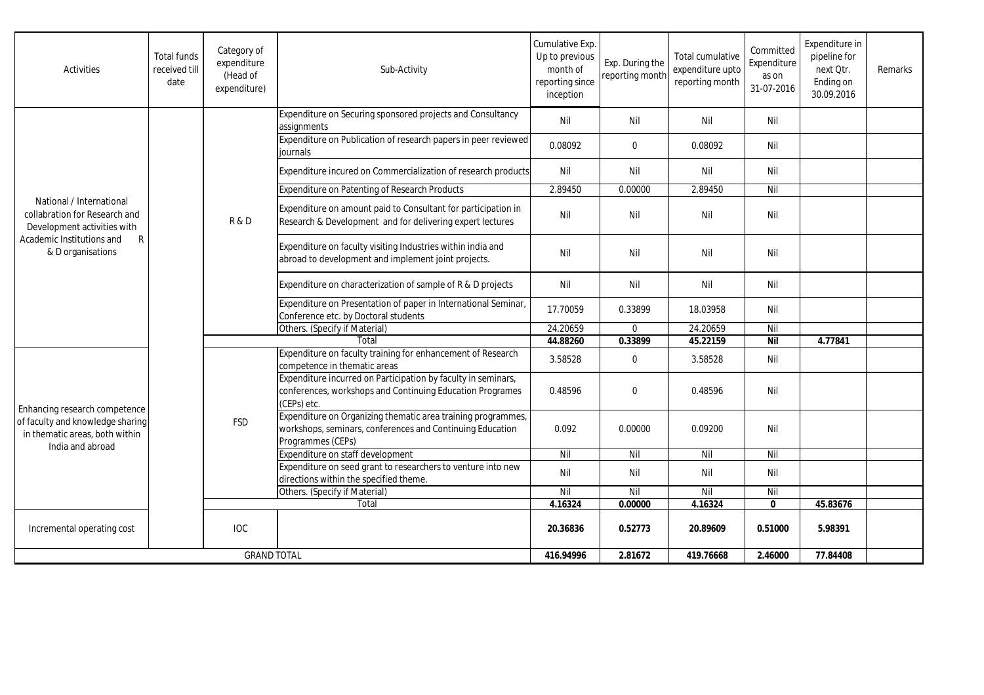| Activities                                                                                                                                                 | <b>Total funds</b><br>received till<br>date | Category of<br>expenditure<br>(Head of<br>expenditure) | Sub-Activity                                                                                                                                   | Cumulative Exp.<br>Up to previous<br>month of<br>reporting since<br>inception | Exp. During the<br>reporting month | Total cumulative<br>expenditure upto<br>reporting month | Committed<br>Expenditure<br>as on<br>31-07-2016 | Expenditure in<br>pipeline for<br>next Otr.<br>Ending on<br>30.09.2016 | Remarks |
|------------------------------------------------------------------------------------------------------------------------------------------------------------|---------------------------------------------|--------------------------------------------------------|------------------------------------------------------------------------------------------------------------------------------------------------|-------------------------------------------------------------------------------|------------------------------------|---------------------------------------------------------|-------------------------------------------------|------------------------------------------------------------------------|---------|
|                                                                                                                                                            |                                             | <b>R&amp;D</b>                                         | Expenditure on Securing sponsored projects and Consultancy<br>assignments                                                                      | Nil                                                                           | Nil                                | Nil                                                     | Nil                                             |                                                                        |         |
|                                                                                                                                                            |                                             |                                                        | Expenditure on Publication of research papers in peer reviewed<br>journals                                                                     | 0.08092                                                                       | $\mathbf 0$                        | 0.08092                                                 | Nil                                             |                                                                        |         |
|                                                                                                                                                            |                                             |                                                        | Expenditure incured on Commercialization of research products                                                                                  | Nil                                                                           | Nil                                | Nil                                                     | Nil                                             |                                                                        |         |
|                                                                                                                                                            |                                             |                                                        | <b>Expenditure on Patenting of Research Products</b>                                                                                           | 2.89450                                                                       | 0.00000                            | 2.89450                                                 | Nil                                             |                                                                        |         |
| National / International<br>collabration for Research and<br>Development activities with<br>$\mathsf{R}$<br>Academic Institutions and<br>& D organisations |                                             |                                                        | Expenditure on amount paid to Consultant for participation in<br>Research & Development and for delivering expert lectures                     | Nil                                                                           | Nil                                | Nil                                                     | Nil                                             |                                                                        |         |
|                                                                                                                                                            |                                             |                                                        | Expenditure on faculty visiting Industries within india and<br>abroad to development and implement joint projects.                             | Nil                                                                           | Nil                                | Nil                                                     | Nil                                             |                                                                        |         |
|                                                                                                                                                            |                                             |                                                        | Expenditure on characterization of sample of R & D projects                                                                                    | Nil                                                                           | Nil                                | Nil                                                     | Nil                                             |                                                                        |         |
|                                                                                                                                                            |                                             |                                                        | Expenditure on Presentation of paper in International Seminar,<br>Conference etc. by Doctoral students                                         | 17.70059                                                                      | 0.33899                            | 18.03958                                                | Nil                                             |                                                                        |         |
|                                                                                                                                                            |                                             |                                                        | Others. (Specify if Material)                                                                                                                  | 24.20659                                                                      | $\mathbf 0$                        | 24.20659                                                | Nil                                             |                                                                        |         |
|                                                                                                                                                            |                                             |                                                        | Total                                                                                                                                          | 44.88260                                                                      | 0.33899                            | 45.22159                                                | <b>Nil</b>                                      | 4.77841                                                                |         |
| Enhancing research competence<br>of faculty and knowledge sharing<br>in thematic areas, both within                                                        |                                             | <b>FSD</b>                                             | Expenditure on faculty training for enhancement of Research<br>competence in thematic areas                                                    | 3.58528                                                                       | $\mathbf 0$                        | 3.58528                                                 | Nil                                             |                                                                        |         |
|                                                                                                                                                            |                                             |                                                        | Expenditure incurred on Participation by faculty in seminars,<br>conferences, workshops and Continuing Education Programes<br>(CEPs) etc.      | 0.48596                                                                       | $\Omega$                           | 0.48596                                                 | Nil                                             |                                                                        |         |
|                                                                                                                                                            |                                             |                                                        | Expenditure on Organizing thematic area training programmes,<br>workshops, seminars, conferences and Continuing Education<br>Programmes (CEPs) | 0.092                                                                         | 0.00000                            | 0.09200                                                 | Nil                                             |                                                                        |         |
| India and abroad                                                                                                                                           |                                             |                                                        | Expenditure on staff development                                                                                                               | Nil                                                                           | Nil                                | Nil                                                     | Nil                                             |                                                                        |         |
|                                                                                                                                                            |                                             |                                                        | Expenditure on seed grant to researchers to venture into new<br>directions within the specified theme.                                         | Nil                                                                           | Nil                                | Nil                                                     | Nil                                             |                                                                        |         |
|                                                                                                                                                            |                                             |                                                        | Others. (Specify if Material)                                                                                                                  | Nil                                                                           | Nil                                | Nil                                                     | Nil                                             |                                                                        |         |
|                                                                                                                                                            |                                             |                                                        | Total                                                                                                                                          | 4.16324                                                                       | 0.00000                            | 4.16324                                                 | $\mathbf{0}$                                    | 45.83676                                                               |         |
| Incremental operating cost                                                                                                                                 |                                             | <b>IOC</b>                                             |                                                                                                                                                | 20.36836                                                                      | 0.52773                            | 20.89609                                                | 0.51000                                         | 5.98391                                                                |         |
| <b>GRAND TOTAL</b>                                                                                                                                         |                                             |                                                        | 416.94996                                                                                                                                      | 2.81672                                                                       | 419.76668                          | 2.46000                                                 | 77.84408                                        |                                                                        |         |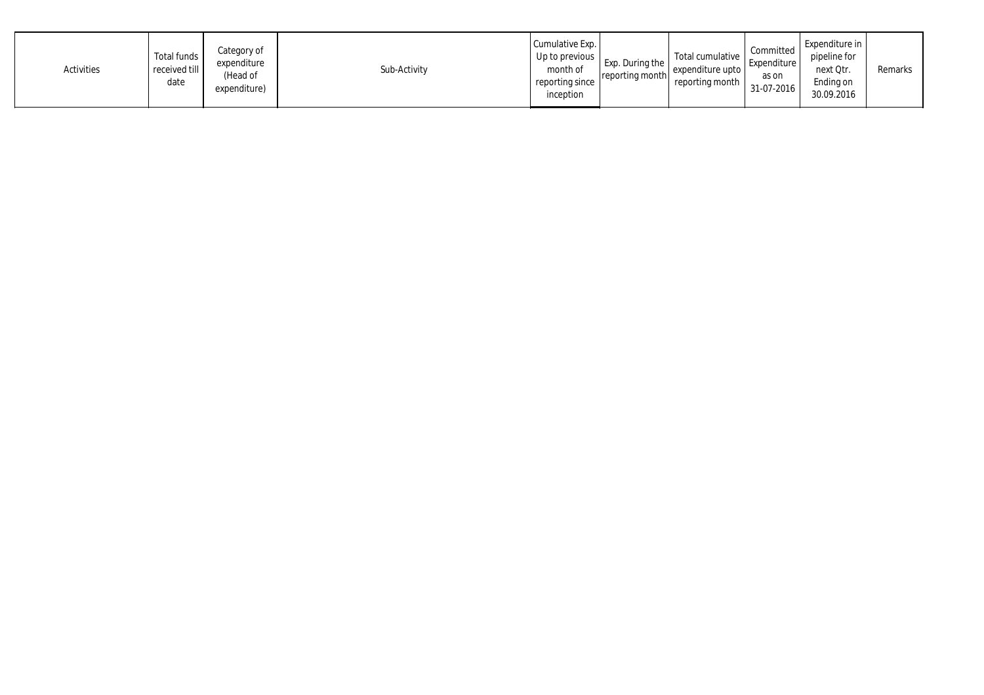| Activities | Total funds<br>received till<br>date | Category of<br>expenditure<br>(Head of<br>expenditure) | Sub-Activity | Cumulative Exp.<br>Up to previous  <br>month of<br>reporting since<br>inception | Exp. During the<br>reporting month | Total cumulative<br>expenditure upto<br>reporting month | Committed<br>Expenditure<br>as on<br>31-07-2016 | Expenditure in<br>pipeline for<br>next Qtr.<br>Ending on<br>30.09.2016 | Remarks |
|------------|--------------------------------------|--------------------------------------------------------|--------------|---------------------------------------------------------------------------------|------------------------------------|---------------------------------------------------------|-------------------------------------------------|------------------------------------------------------------------------|---------|
|------------|--------------------------------------|--------------------------------------------------------|--------------|---------------------------------------------------------------------------------|------------------------------------|---------------------------------------------------------|-------------------------------------------------|------------------------------------------------------------------------|---------|